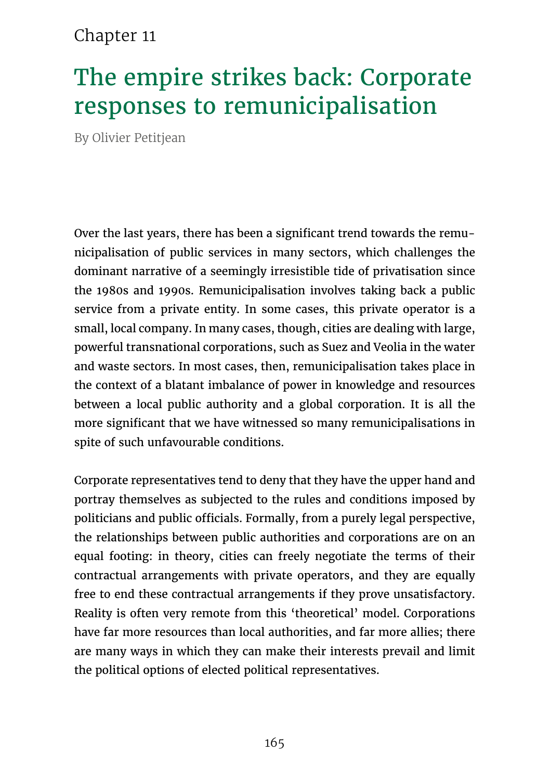#### Chapter 11

# The empire strikes back: Corporate responses to remunicipalisation

By Olivier Petitjean

Over the last years, there has been a significant trend towards the remunicipalisation of public services in many sectors, which challenges the dominant narrative of a seemingly irresistible tide of privatisation since the 1980s and 1990s. Remunicipalisation involves taking back a public service from a private entity. In some cases, this private operator is a small, local company. In many cases, though, cities are dealing with large, powerful transnational corporations, such as Suez and Veolia in the water and waste sectors. In most cases, then, remunicipalisation takes place in the context of a blatant imbalance of power in knowledge and resources between a local public authority and a global corporation. It is all the more significant that we have witnessed so many remunicipalisations in spite of such unfavourable conditions.

Corporate representatives tend to deny that they have the upper hand and portray themselves as subjected to the rules and conditions imposed by politicians and public officials. Formally, from a purely legal perspective, the relationships between public authorities and corporations are on an equal footing: in theory, cities can freely negotiate the terms of their contractual arrangements with private operators, and they are equally free to end these contractual arrangements if they prove unsatisfactory. Reality is often very remote from this 'theoretical' model. Corporations have far more resources than local authorities, and far more allies; there are many ways in which they can make their interests prevail and limit the political options of elected political representatives.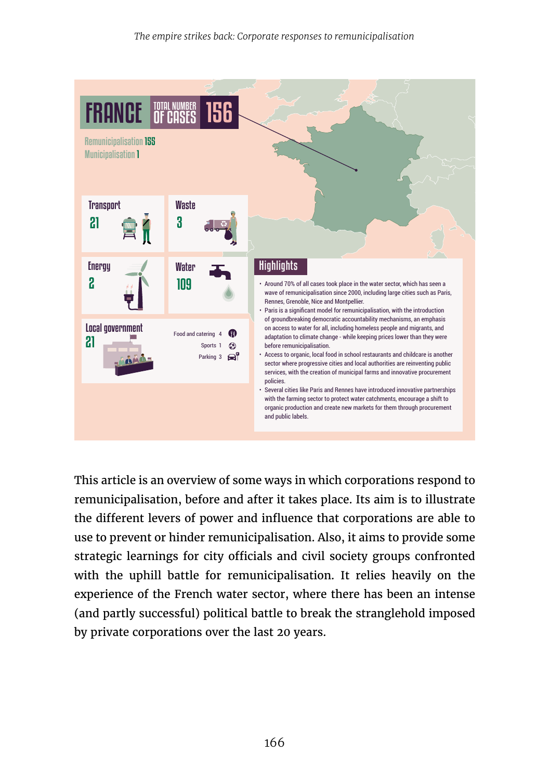

This article is an overview of some ways in which corporations respond to remunicipalisation, before and after it takes place. Its aim is to illustrate the different levers of power and influence that corporations are able to use to prevent or hinder remunicipalisation. Also, it aims to provide some strategic learnings for city officials and civil society groups confronted with the uphill battle for remunicipalisation. It relies heavily on the experience of the French water sector, where there has been an intense (and partly successful) political battle to break the stranglehold imposed by private corporations over the last 20 years.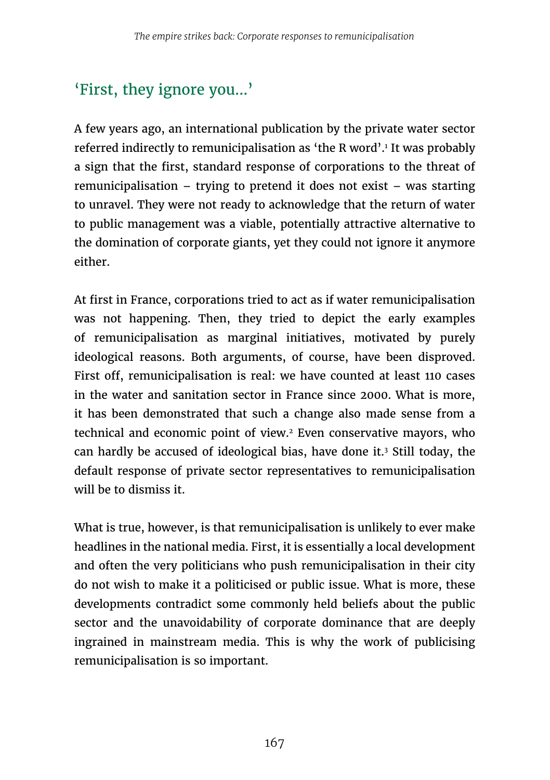# 'First, they ignore you...'

A few years ago, an international publication by the private water sector referred indirectly to remunicipalisation as 'the R word'.<sup>1</sup> It was probably a sign that the first, standard response of corporations to the threat of remunicipalisation – trying to pretend it does not exist – was starting to unravel. They were not ready to acknowledge that the return of water to public management was a viable, potentially attractive alternative to the domination of corporate giants, yet they could not ignore it anymore either.

At first in France, corporations tried to act as if water remunicipalisation was not happening. Then, they tried to depict the early examples of remunicipalisation as marginal initiatives, motivated by purely ideological reasons. Both arguments, of course, have been disproved. First off, remunicipalisation is real: we have counted at least 110 cases in the water and sanitation sector in France since 2000. What is more, it has been demonstrated that such a change also made sense from a technical and economic point of view.<sup>2</sup> Even conservative mayors, who can hardly be accused of ideological bias, have done it.<sup>3</sup> Still today, the default response of private sector representatives to remunicipalisation will be to dismiss it.

What is true, however, is that remunicipalisation is unlikely to ever make headlines in the national media. First, it is essentially a local development and often the very politicians who push remunicipalisation in their city do not wish to make it a politicised or public issue. What is more, these developments contradict some commonly held beliefs about the public sector and the unavoidability of corporate dominance that are deeply ingrained in mainstream media. This is why the work of publicising remunicipalisation is so important.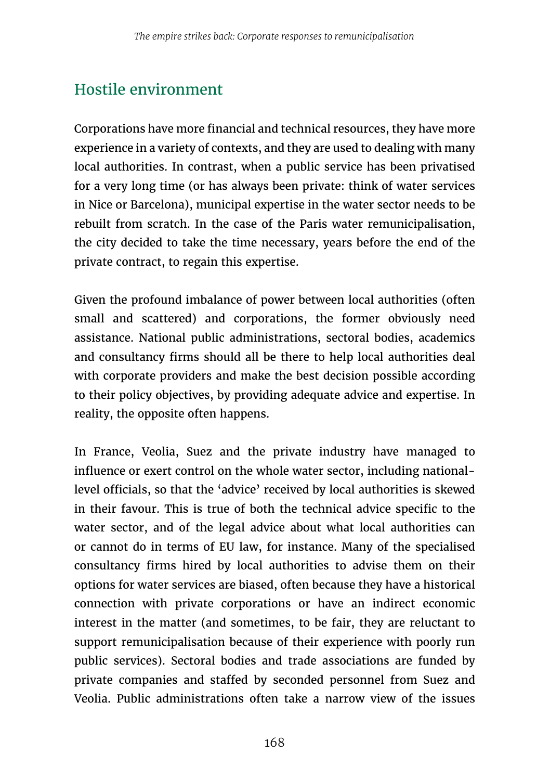# Hostile environment

Corporations have more financial and technical resources, they have more experience in a variety of contexts, and they are used to dealing with many local authorities. In contrast, when a public service has been privatised for a very long time (or has always been private: think of water services in Nice or Barcelona), municipal expertise in the water sector needs to be rebuilt from scratch. In the case of the Paris water remunicipalisation, the city decided to take the time necessary, years before the end of the private contract, to regain this expertise.

Given the profound imbalance of power between local authorities (often small and scattered) and corporations, the former obviously need assistance. National public administrations, sectoral bodies, academics and consultancy firms should all be there to help local authorities deal with corporate providers and make the best decision possible according to their policy objectives, by providing adequate advice and expertise. In reality, the opposite often happens.

In France, Veolia, Suez and the private industry have managed to influence or exert control on the whole water sector, including nationallevel officials, so that the 'advice' received by local authorities is skewed in their favour. This is true of both the technical advice specific to the water sector, and of the legal advice about what local authorities can or cannot do in terms of EU law, for instance. Many of the specialised consultancy firms hired by local authorities to advise them on their options for water services are biased, often because they have a historical connection with private corporations or have an indirect economic interest in the matter (and sometimes, to be fair, they are reluctant to support remunicipalisation because of their experience with poorly run public services). Sectoral bodies and trade associations are funded by private companies and staffed by seconded personnel from Suez and Veolia. Public administrations often take a narrow view of the issues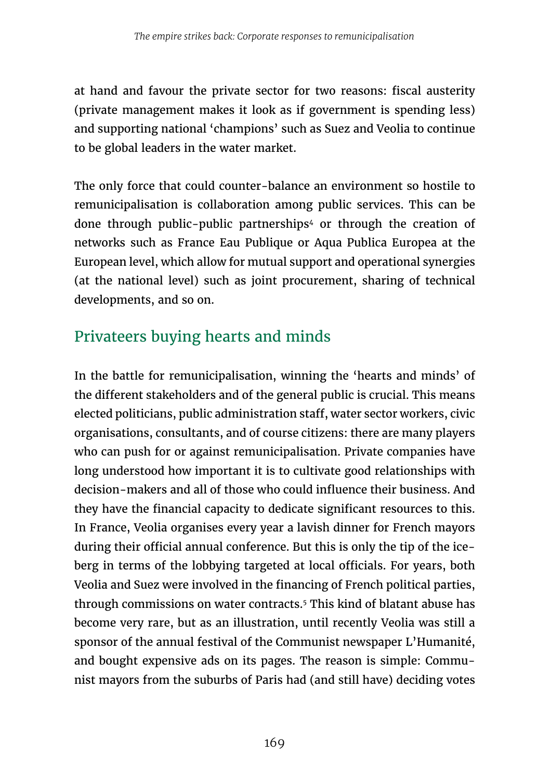at hand and favour the private sector for two reasons: fiscal austerity (private management makes it look as if government is spending less) and supporting national 'champions' such as Suez and Veolia to continue to be global leaders in the water market.

The only force that could counter-balance an environment so hostile to remunicipalisation is collaboration among public services. This can be done through public-public partnerships<sup>4</sup> or through the creation of networks such as France Eau Publique or Aqua Publica Europea at the European level, which allow for mutual support and operational synergies (at the national level) such as joint procurement, sharing of technical developments, and so on.

#### Privateers buying hearts and minds

In the battle for remunicipalisation, winning the 'hearts and minds' of the different stakeholders and of the general public is crucial. This means elected politicians, public administration staff, water sector workers, civic organisations, consultants, and of course citizens: there are many players who can push for or against remunicipalisation. Private companies have long understood how important it is to cultivate good relationships with decision-makers and all of those who could influence their business. And they have the financial capacity to dedicate significant resources to this. In France, Veolia organises every year a lavish dinner for French mayors during their official annual conference. But this is only the tip of the iceberg in terms of the lobbying targeted at local officials. For years, both Veolia and Suez were involved in the financing of French political parties, through commissions on water contracts.<sup>5</sup> This kind of blatant abuse has become very rare, but as an illustration, until recently Veolia was still a sponsor of the annual festival of the Communist newspaper L'Humanité, and bought expensive ads on its pages. The reason is simple: Communist mayors from the suburbs of Paris had (and still have) deciding votes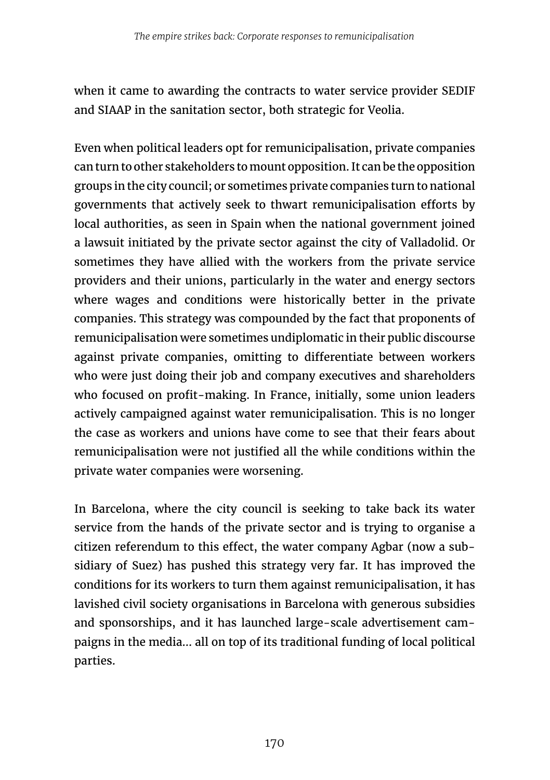when it came to awarding the contracts to water service provider SEDIF and SIAAP in the sanitation sector, both strategic for Veolia.

Even when political leaders opt for remunicipalisation, private companies can turn to other stakeholders to mount opposition. It can be the opposition groups in the city council; or sometimes private companies turn to national governments that actively seek to thwart remunicipalisation efforts by local authorities, as seen in Spain when the national government joined a lawsuit initiated by the private sector against the city of Valladolid. Or sometimes they have allied with the workers from the private service providers and their unions, particularly in the water and energy sectors where wages and conditions were historically better in the private companies. This strategy was compounded by the fact that proponents of remunicipalisation were sometimes undiplomatic in their public discourse against private companies, omitting to differentiate between workers who were just doing their job and company executives and shareholders who focused on profit-making. In France, initially, some union leaders actively campaigned against water remunicipalisation. This is no longer the case as workers and unions have come to see that their fears about remunicipalisation were not justified all the while conditions within the private water companies were worsening.

In Barcelona, where the city council is seeking to take back its water service from the hands of the private sector and is trying to organise a citizen referendum to this effect, the water company Agbar (now a subsidiary of Suez) has pushed this strategy very far. It has improved the conditions for its workers to turn them against remunicipalisation, it has lavished civil society organisations in Barcelona with generous subsidies and sponsorships, and it has launched large-scale advertisement campaigns in the media... all on top of its traditional funding of local political parties.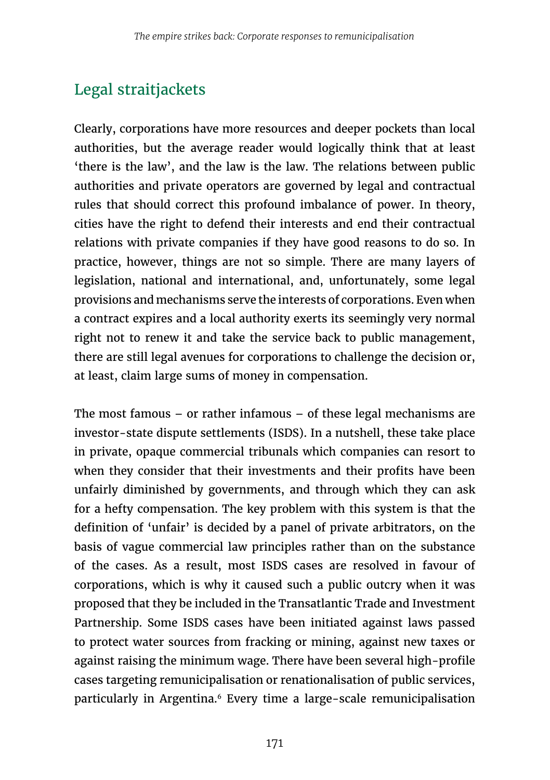# Legal straitjackets

Clearly, corporations have more resources and deeper pockets than local authorities, but the average reader would logically think that at least 'there is the law', and the law is the law. The relations between public authorities and private operators are governed by legal and contractual rules that should correct this profound imbalance of power. In theory, cities have the right to defend their interests and end their contractual relations with private companies if they have good reasons to do so. In practice, however, things are not so simple. There are many layers of legislation, national and international, and, unfortunately, some legal provisions and mechanisms serve the interests of corporations. Even when a contract expires and a local authority exerts its seemingly very normal right not to renew it and take the service back to public management, there are still legal avenues for corporations to challenge the decision or, at least, claim large sums of money in compensation.

The most famous – or rather infamous – of these legal mechanisms are investor-state dispute settlements (ISDS). In a nutshell, these take place in private, opaque commercial tribunals which companies can resort to when they consider that their investments and their profits have been unfairly diminished by governments, and through which they can ask for a hefty compensation. The key problem with this system is that the definition of 'unfair' is decided by a panel of private arbitrators, on the basis of vague commercial law principles rather than on the substance of the cases. As a result, most ISDS cases are resolved in favour of corporations, which is why it caused such a public outcry when it was proposed that they be included in the Transatlantic Trade and Investment Partnership. Some ISDS cases have been initiated against laws passed to protect water sources from fracking or mining, against new taxes or against raising the minimum wage. There have been several high-profile cases targeting remunicipalisation or renationalisation of public services, particularly in Argentina.<sup>6</sup> Every time a large-scale remunicipalisation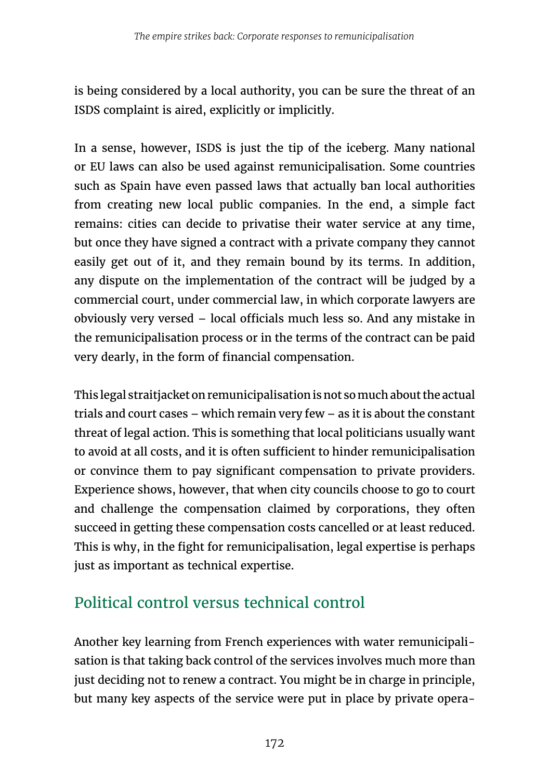is being considered by a local authority, you can be sure the threat of an ISDS complaint is aired, explicitly or implicitly.

In a sense, however, ISDS is just the tip of the iceberg. Many national or EU laws can also be used against remunicipalisation. Some countries such as Spain have even passed laws that actually ban local authorities from creating new local public companies. In the end, a simple fact remains: cities can decide to privatise their water service at any time, but once they have signed a contract with a private company they cannot easily get out of it, and they remain bound by its terms. In addition, any dispute on the implementation of the contract will be judged by a commercial court, under commercial law, in which corporate lawyers are obviously very versed – local officials much less so. And any mistake in the remunicipalisation process or in the terms of the contract can be paid very dearly, in the form of financial compensation.

This legal straitjacket on remunicipalisation is not so much about the actual trials and court cases – which remain very few – as it is about the constant threat of legal action. This is something that local politicians usually want to avoid at all costs, and it is often sufficient to hinder remunicipalisation or convince them to pay significant compensation to private providers. Experience shows, however, that when city councils choose to go to court and challenge the compensation claimed by corporations, they often succeed in getting these compensation costs cancelled or at least reduced. This is why, in the fight for remunicipalisation, legal expertise is perhaps just as important as technical expertise.

# Political control versus technical control

Another key learning from French experiences with water remunicipalisation is that taking back control of the services involves much more than just deciding not to renew a contract. You might be in charge in principle, but many key aspects of the service were put in place by private opera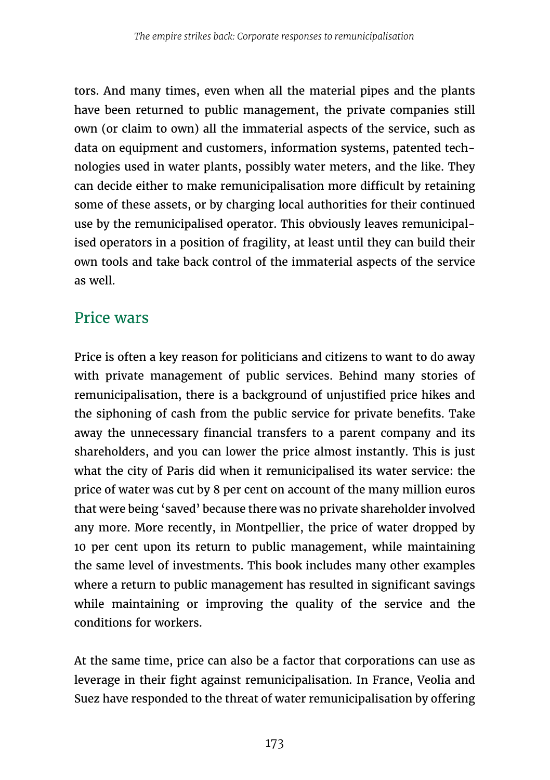tors. And many times, even when all the material pipes and the plants have been returned to public management, the private companies still own (or claim to own) all the immaterial aspects of the service, such as data on equipment and customers, information systems, patented technologies used in water plants, possibly water meters, and the like. They can decide either to make remunicipalisation more difficult by retaining some of these assets, or by charging local authorities for their continued use by the remunicipalised operator. This obviously leaves remunicipalised operators in a position of fragility, at least until they can build their own tools and take back control of the immaterial aspects of the service as well.

#### Price wars

Price is often a key reason for politicians and citizens to want to do away with private management of public services. Behind many stories of remunicipalisation, there is a background of unjustified price hikes and the siphoning of cash from the public service for private benefits. Take away the unnecessary financial transfers to a parent company and its shareholders, and you can lower the price almost instantly. This is just what the city of Paris did when it remunicipalised its water service: the price of water was cut by 8 per cent on account of the many million euros that were being 'saved' because there was no private shareholder involved any more. More recently, in Montpellier, the price of water dropped by 10 per cent upon its return to public management, while maintaining the same level of investments. This book includes many other examples where a return to public management has resulted in significant savings while maintaining or improving the quality of the service and the conditions for workers.

At the same time, price can also be a factor that corporations can use as leverage in their fight against remunicipalisation. In France, Veolia and Suez have responded to the threat of water remunicipalisation by offering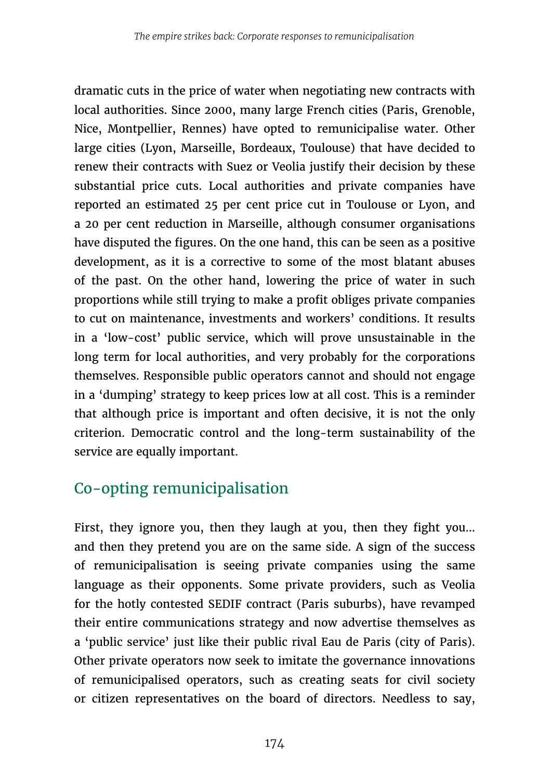dramatic cuts in the price of water when negotiating new contracts with local authorities. Since 2000, many large French cities (Paris, Grenoble, Nice, Montpellier, Rennes) have opted to remunicipalise water. Other large cities (Lyon, Marseille, Bordeaux, Toulouse) that have decided to renew their contracts with Suez or Veolia justify their decision by these substantial price cuts. Local authorities and private companies have reported an estimated 25 per cent price cut in Toulouse or Lyon, and a 20 per cent reduction in Marseille, although consumer organisations have disputed the figures. On the one hand, this can be seen as a positive development, as it is a corrective to some of the most blatant abuses of the past. On the other hand, lowering the price of water in such proportions while still trying to make a profit obliges private companies to cut on maintenance, investments and workers' conditions. It results in a 'low-cost' public service, which will prove unsustainable in the long term for local authorities, and very probably for the corporations themselves. Responsible public operators cannot and should not engage in a 'dumping' strategy to keep prices low at all cost. This is a reminder that although price is important and often decisive, it is not the only criterion. Democratic control and the long-term sustainability of the service are equally important.

# Co-opting remunicipalisation

First, they ignore you, then they laugh at you, then they fight you... and then they pretend you are on the same side. A sign of the success of remunicipalisation is seeing private companies using the same language as their opponents. Some private providers, such as Veolia for the hotly contested SEDIF contract (Paris suburbs), have revamped their entire communications strategy and now advertise themselves as a 'public service' just like their public rival Eau de Paris (city of Paris). Other private operators now seek to imitate the governance innovations of remunicipalised operators, such as creating seats for civil society or citizen representatives on the board of directors. Needless to say,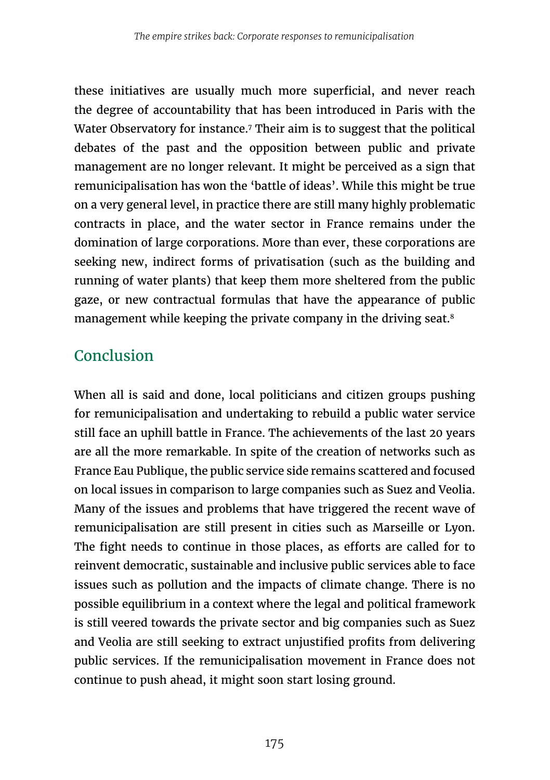these initiatives are usually much more superficial, and never reach the degree of accountability that has been introduced in Paris with the Water Observatory for instance.<sup>7</sup> Their aim is to suggest that the political debates of the past and the opposition between public and private management are no longer relevant. It might be perceived as a sign that remunicipalisation has won the 'battle of ideas'. While this might be true on a very general level, in practice there are still many highly problematic contracts in place, and the water sector in France remains under the domination of large corporations. More than ever, these corporations are seeking new, indirect forms of privatisation (such as the building and running of water plants) that keep them more sheltered from the public gaze, or new contractual formulas that have the appearance of public management while keeping the private company in the driving seat.<sup>8</sup>

#### **Conclusion**

When all is said and done, local politicians and citizen groups pushing for remunicipalisation and undertaking to rebuild a public water service still face an uphill battle in France. The achievements of the last 20 years are all the more remarkable. In spite of the creation of networks such as France Eau Publique, the public service side remains scattered and focused on local issues in comparison to large companies such as Suez and Veolia. Many of the issues and problems that have triggered the recent wave of remunicipalisation are still present in cities such as Marseille or Lyon. The fight needs to continue in those places, as efforts are called for to reinvent democratic, sustainable and inclusive public services able to face issues such as pollution and the impacts of climate change. There is no possible equilibrium in a context where the legal and political framework is still veered towards the private sector and big companies such as Suez and Veolia are still seeking to extract unjustified profits from delivering public services. If the remunicipalisation movement in France does not continue to push ahead, it might soon start losing ground.